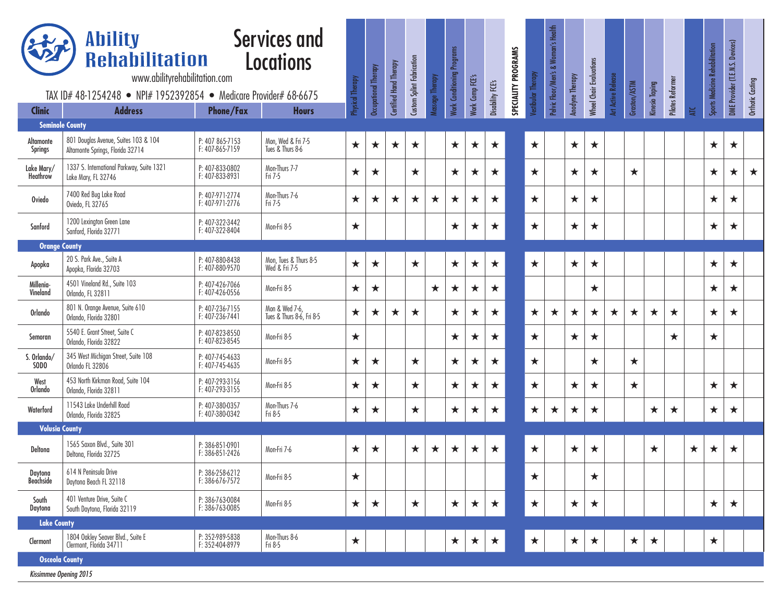| <b>Services and</b><br><b>Ability</b><br><b>Rehabilitation</b><br>Locations<br>www.abilityrehabilitation.com                             |                                                                          |                                      | Physical Therapy                            | Occupational Therapy | Certified Hand Therapy | <b>Custom Splint Fabrication</b> | Massage Therapy | Work Conditioning Programs | Work Comp FCE's |                  | SPECIALITY PROGRAMS | /estibular Therapy | Pelvic Floor/Men's & Woman's Health | Anodyne Therapy | <b>Wheel Chair Evaluations</b> | <b>Art Active Release</b> |              |                | <b>Pilates Reformer</b> |         | Sports Medicine Rehabilitation | Devices)<br>DME Provider (T.E.N.S. | Orthotic Casting |         |
|------------------------------------------------------------------------------------------------------------------------------------------|--------------------------------------------------------------------------|--------------------------------------|---------------------------------------------|----------------------|------------------------|----------------------------------|-----------------|----------------------------|-----------------|------------------|---------------------|--------------------|-------------------------------------|-----------------|--------------------------------|---------------------------|--------------|----------------|-------------------------|---------|--------------------------------|------------------------------------|------------------|---------|
| TAX ID# 48-1254248 • NPI# 1952392854 • Medicare Provider# 68-6675<br><b>Address</b><br><b>Clinic</b><br><b>Phone/Fax</b><br><b>Hours</b> |                                                                          |                                      |                                             |                      |                        |                                  |                 |                            |                 | Disability FCE's |                     |                    |                                     |                 |                                |                           | Graston/ASTM | Kinesio Taping |                         | ÄΓ      |                                |                                    |                  |         |
|                                                                                                                                          | <b>Seminole County</b>                                                   |                                      |                                             |                      |                        |                                  |                 |                            |                 |                  |                     |                    |                                     |                 |                                |                           |              |                |                         |         |                                |                                    |                  |         |
| Altamonte<br><b>Springs</b>                                                                                                              | 801 Douglas Avenue, Suites 103 & 104<br>Altamonte Springs, Florida 32714 | P: 407 865-7153<br>F: 407-865-7159   | Mon, Wed & Fri 7-5<br>Tues & Thurs 8-6      | $\star$              | $\star$                | ★                                | $\bigstar$      |                            | $\star$         | ★                | $\star$             |                    | $\star$                             |                 | $\bigstar$                     | ★                         |              |                |                         |         |                                | ★                                  | $\star$          |         |
| Lake Mary/<br>Heathrow                                                                                                                   | 1337 S. International Parkway, Suite 1321<br>Lake Mary, FL 32746         | P: 407-833-0802<br>F: 407-833-8931   | Mon-Thurs 7-7<br>Fri 7-5                    | ★                    | ★                      |                                  | ★               |                            | ★               | ★                | $\star$             |                    | ★                                   |                 | ★                              | ★                         |              | ★              |                         |         |                                | $\star$                            | $\star$          | $\star$ |
| Oviedo                                                                                                                                   | 7400 Red Bug Lake Road<br>Oviedo, FL 32765                               | P: 407-971-2774<br>F: 407-971-2776   | Mon-Thurs 7-6<br>Fri 7-5                    | ★                    | $\star$                | $\star$                          | $\star$         | ★                          | ★               | $\star$          | $\star$             |                    | ★                                   |                 | ★                              | ★                         |              |                |                         |         |                                | ★                                  | ★                |         |
| Sanford                                                                                                                                  | 1200 Lexington Green Lane<br>Sanford, Florida 32771                      | P: 407-322-3442<br>F: 407-322-8404   | Mon-Fri 8-5                                 | ★                    |                        |                                  |                 |                            | $\star$         | $\star$          | $\star$             |                    | ★                                   |                 | ★                              | ★                         |              |                |                         |         |                                | $\star$                            | $\star$          |         |
| <b>Orange County</b>                                                                                                                     |                                                                          |                                      |                                             |                      |                        |                                  |                 |                            |                 |                  |                     |                    |                                     |                 |                                |                           |              |                |                         |         |                                |                                    |                  |         |
| Apopka                                                                                                                                   | 20 S. Park Ave., Suite A<br>Apopka, Florida 32703                        | P: 407-880-8438<br>$F: 407-880-9570$ | Mon, Tues & Thurs 8-5<br>Wed & Fri 7-5      | $\star$              | ★                      |                                  | $\star$         |                            | $\star$         | ★                | $\star$             |                    | $\star$                             |                 | $\star$                        | ★                         |              |                |                         |         |                                | $\star$                            | $\star$          |         |
| Millenia-<br>Vineland                                                                                                                    | 4501 Vineland Rd., Suite 103<br>Orlando, FL 32811                        | P: 407-426-7066<br>F: 407-426-0556   | Mon-Fri 8-5                                 | ★                    | ★                      |                                  |                 | $\star$                    | ★               | ★                | $\star$             |                    |                                     |                 |                                | ★                         |              |                |                         |         |                                | ★                                  | $\star$          |         |
| <b>Orlando</b>                                                                                                                           | 801 N. Orange Avenue, Suite 610<br>Orlando, Florida 32801                | P: 407-236-7155<br>F: 407-236-7441   | Mon & Wed 7-6,<br>Tues & Thurs 8-6, Fri 8-5 | $\star$              | ★                      | ★                                | ★               |                            | ★               | ★                | $\star$             |                    | $\star$                             | ★               | ★                              | $\star$                   | $\star$      | $\star$        | $\star$                 | $\star$ |                                | ★                                  | $\star$          |         |
| Semoran                                                                                                                                  | 5540 E. Grant Street, Suite C<br>Orlando, Florida 32822                  | P: 407-823-8550<br>F: 407-823-8545   | Mon-Fri 8-5                                 | $\star$              |                        |                                  |                 |                            | ★               | ★                | $\star$             |                    | $\star$                             |                 | ★                              | $\star$                   |              |                |                         | $\star$ |                                | $\star$                            |                  |         |
| S. Orlando/<br>SOD <sub>0</sub>                                                                                                          | 345 West Michigan Street, Suite 108<br>Orlando FL 32806                  | P: 407-745-4633<br>F: 407-745-4635   | Mon-Fri 8-5                                 | $\star$              | ★                      |                                  | ★               |                            | ★               | ★                | $\star$             |                    | $\star$                             |                 |                                | ★                         |              | $\star$        |                         |         |                                |                                    |                  |         |
| West<br><b>Orlando</b>                                                                                                                   | 453 North Kirkman Road, Suite 104<br>Orlando, Florida 32811              | P: 407-293-3156<br>F: 407-293-3155   | Mon-Fri 8-5                                 | $\star$              | $\star$                |                                  | ★               |                            | ★               | ★                | ★                   |                    | ★                                   |                 | ★                              | ★                         |              | $\star$        |                         |         |                                | $\star$                            | $\star$          |         |
| Waterford                                                                                                                                | 11543 Lake Underhill Road<br>Orlando, Florida 32825                      | P: 407-380-0357<br>F: 407-380-0342   | Mon-Thurs 7-6<br>Fri 8-5                    | $\star$              | ★                      |                                  | ★               |                            | ★               | ★                | $\star$             |                    | $\star$                             | ★               | ★                              | ★                         |              |                | ★                       | ★       |                                | $\star$                            | $\star$          |         |
| <b>Volusia County</b>                                                                                                                    |                                                                          |                                      |                                             |                      |                        |                                  |                 |                            |                 |                  |                     |                    |                                     |                 |                                |                           |              |                |                         |         |                                |                                    |                  |         |
| Deltona                                                                                                                                  | 1565 Saxon Blvd., Suite 301<br>Deltona, Florida 32725                    | P: 386-851-0901<br>F: 386-851-2426   | Mon-Fri 7-6                                 | ★                    | ★                      |                                  | ★               | ★                          | ★               | ★                | $\star$             |                    | $\star$                             |                 | ★                              | $\star$                   |              |                | $\star$                 |         | $\star$                        | $\star$                            | $\star$          |         |
| Daytona<br>Beachside                                                                                                                     | 614 N Peninsula Drive<br>Daytona Beach FL 32118                          | P: 386-258-6212<br>F: 386-676-7572   | Mon-Fri 8-5                                 | $\star$              |                        |                                  |                 |                            |                 |                  |                     |                    | $\star$                             |                 |                                | $\star$                   |              |                |                         |         |                                |                                    |                  |         |
| South<br>Daytona                                                                                                                         | 401 Venture Drive, Suite C<br>South Daytona, Florida 32119               | P: 386-763-0084<br>F: 386-763-0085   | Mon-Fri 8-5                                 | ★                    | ★                      |                                  | ★               |                            | $\star$         | ★                | ★                   |                    | $\bigstar$                          |                 | ★                              | ★                         |              |                |                         |         |                                | ★                                  | $\star$          |         |
| <b>Lake County</b>                                                                                                                       |                                                                          |                                      |                                             |                      |                        |                                  |                 |                            |                 |                  |                     |                    |                                     |                 |                                |                           |              |                |                         |         |                                |                                    |                  |         |
| Clermont                                                                                                                                 | 1804 Oakley Seaver Blvd., Suite E<br>Clermont, Florida 34711             | P: 352-989-5838<br>F: 352-404-8979   | Mon-Thurs 8-6<br>Fri 8-5                    | $\star$              |                        |                                  |                 |                            | $\star$         | $\star$          | $\star$             |                    | $\star$                             |                 | $\star$                        | $\star$                   |              | $\star$        | $\star$                 |         |                                | $\star$                            |                  |         |
| <b>Osceola County</b>                                                                                                                    |                                                                          |                                      |                                             |                      |                        |                                  |                 |                            |                 |                  |                     |                    |                                     |                 |                                |                           |              |                |                         |         |                                |                                    |                  |         |
| Kissimmee Opening 2015                                                                                                                   |                                                                          |                                      |                                             |                      |                        |                                  |                 |                            |                 |                  |                     |                    |                                     |                 |                                |                           |              |                |                         |         |                                |                                    |                  |         |